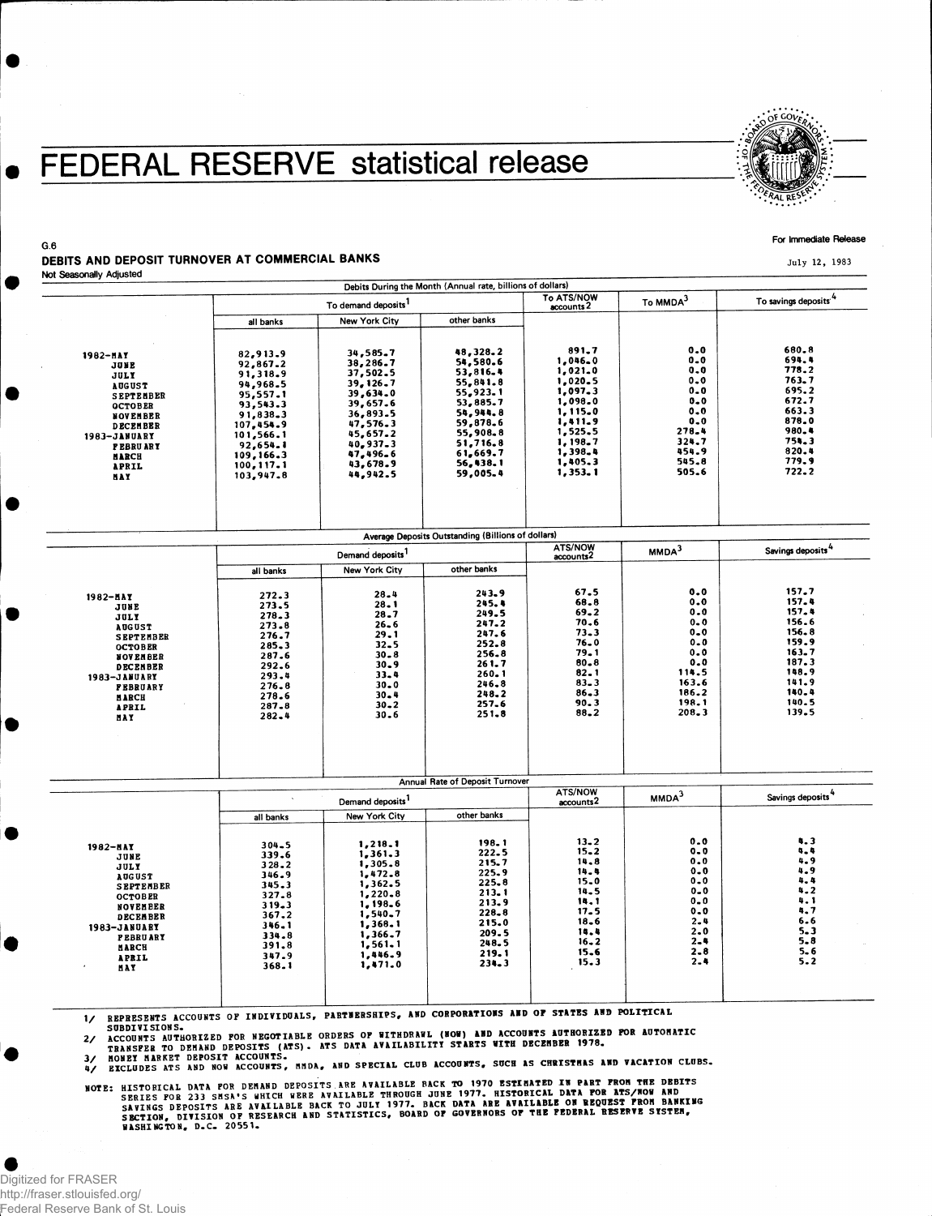## **FEDERAL RESERVE statistical release**



#### For Immediate Release

July 12, 1983

#### DEBITS AND DEPOSIT TURNOVER AT COMMERCIAL BANKS Not Seasonally Adjusted

G.6

|                                                                                                                                                                                                 |                                                                                                                                                                |                                                                                                                                                          | Debits During the Month (Annual rate, billions of dollars)                                                                                                |                                                                                                                                           |                                                                                                           |                                                                                                                   |
|-------------------------------------------------------------------------------------------------------------------------------------------------------------------------------------------------|----------------------------------------------------------------------------------------------------------------------------------------------------------------|----------------------------------------------------------------------------------------------------------------------------------------------------------|-----------------------------------------------------------------------------------------------------------------------------------------------------------|-------------------------------------------------------------------------------------------------------------------------------------------|-----------------------------------------------------------------------------------------------------------|-------------------------------------------------------------------------------------------------------------------|
|                                                                                                                                                                                                 |                                                                                                                                                                | To demand deposits <sup>1</sup>                                                                                                                          |                                                                                                                                                           |                                                                                                                                           | To MMDA <sup>3</sup>                                                                                      | To savings deposits"                                                                                              |
|                                                                                                                                                                                                 | all banks                                                                                                                                                      | New York City                                                                                                                                            | other banks                                                                                                                                               |                                                                                                                                           |                                                                                                           |                                                                                                                   |
| 1982-HAY<br>JUNE<br>JULY<br><b>AUGUST</b><br><b>SEPTEMBER</b><br><b>OCTOBER</b><br>NOVEMBER<br><b>DECEMBER</b><br>1983-JANUARY<br><b>FEBRUARY</b><br><b>HARCH</b><br><b>APRIL</b><br><b>HAY</b> | 82,913.9<br>92,867.2<br>91,318.9<br>94,968.5<br>95,557.1<br>93,543.3<br>91,838.3<br>107.454.9<br>101,566.1<br>92,654.1<br>109,166.3<br>100, 117.1<br>103,947.8 | 34,585.7<br>38,286.7<br>37,502.5<br>39,126.7<br>39,634.0<br>39,657.6<br>36,893.5<br>47,576.3<br>45,657.2<br>40.937.3<br>47,496.6<br>43,678.9<br>44,942.5 | 48,328.2<br>54,580.6<br>53,816.4<br>55,841.8<br>55,923.1<br>53,885.7<br>54,944.8<br>59,878.6<br>55,908.8<br>51,716.8<br>61,669.7<br>56, 138.1<br>59,005.4 | 891.7<br>1,046.0<br>1,021.0<br>1,020.5<br>1,097.3<br>1,098.0<br>1,115.0<br>1,411.9<br>1,525.5<br>1,198.7<br>1,398.4<br>1,405.3<br>1,353.1 | 0.0<br>0.0<br>0.0<br>0.0<br>$0 - 0$<br>$0 - 0$<br>0.0<br>0.0<br>278.4<br>324.7<br>454.9<br>545.8<br>505.6 | 680.8<br>694.4<br>778.2<br>763.7<br>695.2<br>672.7<br>663.3<br>878.0<br>980.4<br>754.3<br>820.4<br>779.9<br>722.2 |
|                                                                                                                                                                                                 |                                                                                                                                                                |                                                                                                                                                          | Average Deposits Outstanding (Billions of dollars)                                                                                                        |                                                                                                                                           |                                                                                                           |                                                                                                                   |
|                                                                                                                                                                                                 |                                                                                                                                                                | Demand deposits <sup>1</sup>                                                                                                                             |                                                                                                                                                           |                                                                                                                                           | MMDA <sup>3</sup>                                                                                         | Savings deposits <sup>4</sup>                                                                                     |
|                                                                                                                                                                                                 |                                                                                                                                                                |                                                                                                                                                          | $\mathbf{a}$ and $\mathbf{a}$ and $\mathbf{a}$                                                                                                            |                                                                                                                                           |                                                                                                           |                                                                                                                   |

|                          | Demand deposits <sup>1</sup>                                 |                       |                                 | ATS/NOW<br>accounts <sup>2</sup> | MMDA <sup>3</sup>             | Savings deposits <sup>4</sup> |
|--------------------------|--------------------------------------------------------------|-----------------------|---------------------------------|----------------------------------|-------------------------------|-------------------------------|
| 1982-NAY                 | all banks<br>272.3                                           | New York City<br>28.4 | other banks<br>243.9            | 67.5                             | 0.0                           | 157.7                         |
| JUNE<br><b>JULY</b>      | 273.5<br>278.3                                               | $28 - 1$<br>28.7      | 245.4<br>249.5                  | 68.8<br>69.2<br>70.6             | 0.0<br>0.0<br>$0 - 0$         | 157.4<br>157.4<br>156.6       |
| <b>AUGUST</b>            | 273.8                                                        | $26 - 6$              | 247.2                           | $73 - 3$                         | $0 - 0$                       | 156.8                         |
| <b>SEPTEMBER</b>         | 276.7                                                        | 29.1                  | 247.6                           | 76.0                             | $0 - 0$                       | 159.9                         |
| <b>OCTOBER</b>           | 285.3                                                        | $32 - 5$              | 252.8                           | 79.1                             | $0 - 0$                       | 163.7                         |
| <b>NOVEMBER</b>          | 287.6                                                        | $30 - 8$              | 256.8                           | $80 - 8$                         | 0.0                           | 187.3                         |
| <b>DECEMBER</b>          | 292.6                                                        | $30 - 9$              | 261.7                           | 82.1                             | 114.5                         | 148.9                         |
| 1983-JANUARY             | 293.4                                                        | $33 - 4$              | 260.1                           | $83 - 3$                         | 163.6                         | 141.9                         |
| <b>FEBRUARY</b><br>MARCH | 276.8<br>278.6                                               | $30 - 0$<br>$30 - 4$  | 246.8<br>248.2                  | $86 - 3$                         | 186.2                         | 140.4<br>140.5                |
| <b>APRIL</b>             | 287.8                                                        | $30 - 2$              | 257.6                           | 90.3                             | 198.1                         | 139.5                         |
| <b>NAY</b>               | 282.4                                                        | 30.6                  | 251.8                           | 88.2                             | 208.3                         |                               |
|                          |                                                              |                       | Annual Rate of Deposit Turnover | ATS/NOW                          |                               | Savings deposits <sup>4</sup> |
|                          | Demand deposits <sup>1</sup><br>other banks<br>New York City |                       |                                 | accounts <sup>2</sup>            | MMDA <sup>3</sup>             |                               |
|                          | all banks                                                    |                       |                                 |                                  |                               |                               |
| 1982-NAY                 | 304.5                                                        | 1,218.1               | 198.1                           | $13 - 2$                         | 0.0                           | 4.3                           |
| JUNE                     | 339.6                                                        | 1, 361.3              | 222.5                           | $15 - 2$                         | $0 - 0$                       | 4.4                           |
| JULY                     | 328.2                                                        | 1,305.8               | 215.7                           | 14.8                             | 0.0                           | 4.9                           |
| <b>AUGUST</b>            | 346.9                                                        | 1,472.8               | 225.9                           | 14.4                             | $0 - 0$                       | 4.9                           |
| <b>SEPTEMBER</b>         | 345.3                                                        | 1,362.5               | 225.8                           | $15 - 0$                         | $0 - 0$                       | $4 - 4$                       |
| <b>OCTOBER</b>           | 327.8                                                        | 1,220.8               | 213.1                           | 14.5                             | $0 - 0$                       | 4.2                           |
| NOVEMBER                 | 319.3                                                        | 1,198.6               | 213.9                           | 14.1                             | $0 - 0$                       | 4.1                           |
| <b>DECEMBER</b>          | 367.2                                                        | 1,540.7               | 228.8                           | 17.5                             | 0.0                           | 4.7                           |
| 1983-JANUARY             | 346.1                                                        | 1,368.1               | 215.0                           | $18 - 6$                         | $2 - 4$                       | $6 - 6$                       |
| <b>PEBRUARY</b>          | 334.8                                                        | 1,366.7               | 209.5                           | 14.4                             | $2 - 0$                       | $5 - 3$                       |
| <b>MARCH</b><br>APRIL    | 391.8<br>347.9                                               | 1,561.1<br>1.446.9    | 248.5<br>219.1                  | $16 - 2$<br>15.6                 | $2 - 4$<br>$2 - 8$<br>$2 - 4$ | 5.8<br>$5 - 6$<br>$5 - 2$     |
| <b>HAY</b>               | 368.1                                                        | 1,471.0               | $234 - 3$                       | 15.3                             |                               |                               |

1/

 $2/$ ATS DATA AVAILABILITY STARTS WITH DECEMBER 1978.

 $\mathbf{a}$ 4 / **EICWDES'M I °»D°N " iccou^s" , flHDA. » »D SPECIAL CLUB ACCOOOTS. SOCE AS CMISTBA S VACATION CLOBS.**

HASHING TON, D.C . 20551 .